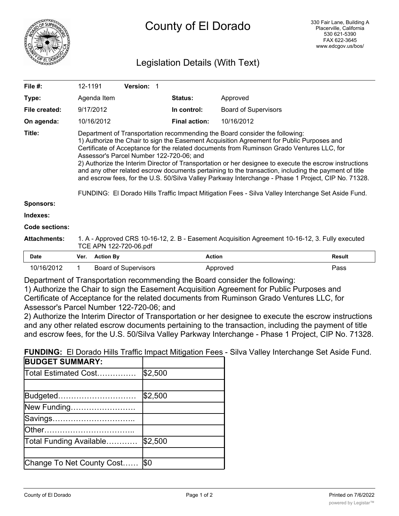

# Legislation Details (With Text)

| File $#$ :            | 12-1191                                                                                                                                                                                                                                                                                                                                                                                                                                                                                                                                                                                                                                                                                                                                          |                  | <b>Version: 1</b>           |  |                      |                             |        |
|-----------------------|--------------------------------------------------------------------------------------------------------------------------------------------------------------------------------------------------------------------------------------------------------------------------------------------------------------------------------------------------------------------------------------------------------------------------------------------------------------------------------------------------------------------------------------------------------------------------------------------------------------------------------------------------------------------------------------------------------------------------------------------------|------------------|-----------------------------|--|----------------------|-----------------------------|--------|
| Type:                 |                                                                                                                                                                                                                                                                                                                                                                                                                                                                                                                                                                                                                                                                                                                                                  | Agenda Item      |                             |  | <b>Status:</b>       | Approved                    |        |
| File created:         | 9/17/2012                                                                                                                                                                                                                                                                                                                                                                                                                                                                                                                                                                                                                                                                                                                                        |                  |                             |  | In control:          | <b>Board of Supervisors</b> |        |
| On agenda:            |                                                                                                                                                                                                                                                                                                                                                                                                                                                                                                                                                                                                                                                                                                                                                  | 10/16/2012       |                             |  | <b>Final action:</b> | 10/16/2012                  |        |
| Title:                | Department of Transportation recommending the Board consider the following:<br>1) Authorize the Chair to sign the Easement Acquisition Agreement for Public Purposes and<br>Certificate of Acceptance for the related documents from Ruminson Grado Ventures LLC, for<br>Assessor's Parcel Number 122-720-06; and<br>2) Authorize the Interim Director of Transportation or her designee to execute the escrow instructions<br>and any other related escrow documents pertaining to the transaction, including the payment of title<br>and escrow fees, for the U.S. 50/Silva Valley Parkway Interchange - Phase 1 Project, CIP No. 71328.<br>FUNDING: El Dorado Hills Traffic Impact Mitigation Fees - Silva Valley Interchange Set Aside Fund. |                  |                             |  |                      |                             |        |
| <b>Sponsors:</b>      |                                                                                                                                                                                                                                                                                                                                                                                                                                                                                                                                                                                                                                                                                                                                                  |                  |                             |  |                      |                             |        |
| Indexes:              |                                                                                                                                                                                                                                                                                                                                                                                                                                                                                                                                                                                                                                                                                                                                                  |                  |                             |  |                      |                             |        |
| <b>Code sections:</b> |                                                                                                                                                                                                                                                                                                                                                                                                                                                                                                                                                                                                                                                                                                                                                  |                  |                             |  |                      |                             |        |
| <b>Attachments:</b>   | 1. A - Approved CRS 10-16-12, 2. B - Easement Acquisition Agreement 10-16-12, 3. Fully executed<br>TCE APN 122-720-06.pdf                                                                                                                                                                                                                                                                                                                                                                                                                                                                                                                                                                                                                        |                  |                             |  |                      |                             |        |
| Date                  | Ver.                                                                                                                                                                                                                                                                                                                                                                                                                                                                                                                                                                                                                                                                                                                                             | <b>Action By</b> |                             |  | <b>Action</b>        |                             | Result |
| 10/16/2012            | 1                                                                                                                                                                                                                                                                                                                                                                                                                                                                                                                                                                                                                                                                                                                                                |                  | <b>Board of Supervisors</b> |  |                      | Approved                    | Pass   |

Department of Transportation recommending the Board consider the following:

1) Authorize the Chair to sign the Easement Acquisition Agreement for Public Purposes and Certificate of Acceptance for the related documents from Ruminson Grado Ventures LLC, for Assessor's Parcel Number 122-720-06; and

2) Authorize the Interim Director of Transportation or her designee to execute the escrow instructions and any other related escrow documents pertaining to the transaction, including the payment of title and escrow fees, for the U.S. 50/Silva Valley Parkway Interchange - Phase 1 Project, CIP No. 71328.

**FUNDING:** El Dorado Hills Traffic Impact Mitigation Fees - Silva Valley Interchange Set Aside Fund.

| <b>BUDGET SUMMARY:</b>    |         |
|---------------------------|---------|
| Total Estimated Cost      | \$2,500 |
|                           |         |
| Budgeted                  | \$2,500 |
| New Funding               |         |
| Savings                   |         |
| lOther                    |         |
| Total Funding Available   | \$2,500 |
|                           |         |
| Change To Net County Cost | l\$0    |